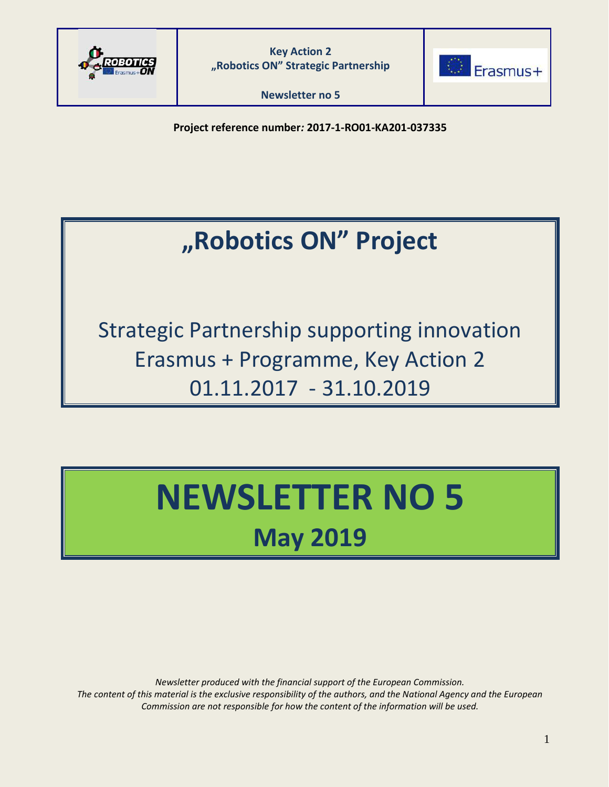



**Newsletter no 5**

**Project reference number***:* **2017-1-RO01-KA201-037335**

## **"Robotics ON" Project**

Strategic Partnership supporting innovation Erasmus + Programme, Key Action 2 01.11.2017 - 31.10.2019

# **NEWSLETTER NO 5 May 2019**

*Newsletter produced with the financial support of the European Commission. The content of this material is the exclusive responsibility of the authors, and the National Agency and the European Commission are not responsible for how the content of the information will be used.*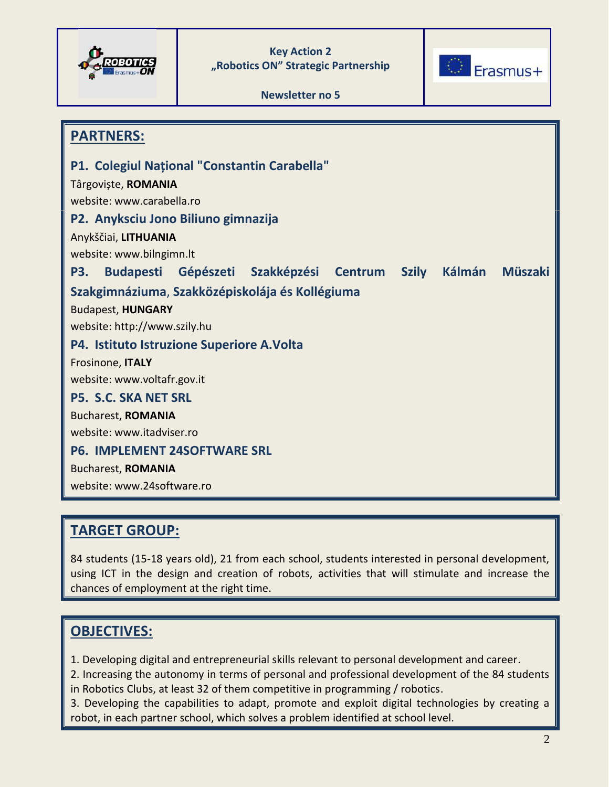





**PARTNERS: P1. Colegiul Național "Constantin Carabella"** Târgoviște, **ROMANIA** website: www.carabella.ro **P2. Anyksciu Jono Biliuno gimnazija** Anykščiai, **LITHUANIA** website: www.bilngimn.lt **P3. Budapesti Gépészeti Szakképzési Centrum Szily Kálmán Müszaki Szakgimnáziuma**, **Szakközépiskolája és Kollégiuma** Budapest, **HUNGARY** website: http://www.szily.hu **P4. Istituto Istruzione Superiore A.Volta** Frosinone, **ITALY** website: www.voltafr.gov.it **P5. S.C. SKA NET SRL** Bucharest, **ROMANIA** website: www.itadviser.ro **P6. IMPLEMENT 24SOFTWARE SRL** Bucharest, **ROMANIA** website: www.24software.ro

## **TARGET GROUP:**

84 students (15-18 years old), 21 from each school, students interested in personal development, using ICT in the design and creation of robots, activities that will stimulate and increase the chances of employment at the right time.

## **OBJECTIVES:**

1. Developing digital and entrepreneurial skills relevant to personal development and career.

2. Increasing the autonomy in terms of personal and professional development of the 84 students in Robotics Clubs, at least 32 of them competitive in programming / robotics.

3. Developing the capabilities to adapt, promote and exploit digital technologies by creating a robot, in each partner school, which solves a problem identified at school level.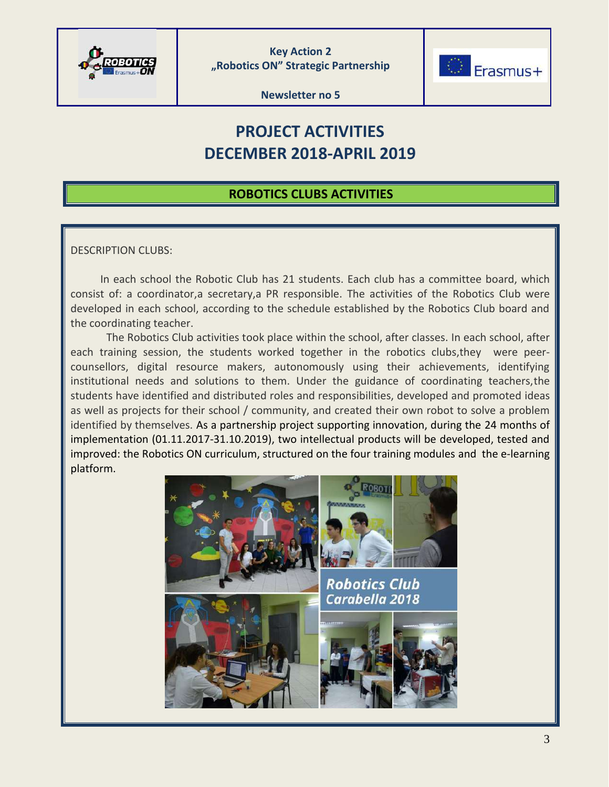



**Newsletter no 5**

## **PROJECT ACTIVITIES DECEMBER 2018-APRIL 2019**

## **ROBOTICS CLUBS ACTIVITIES**

#### DESCRIPTION CLUBS:

 In each school the Robotic Club has 21 students. Each club has a committee board, which consist of: a coordinator,a secretary,a PR responsible. The activities of the Robotics Club were developed in each school, according to the schedule established by the Robotics Club board and the coordinating teacher.

The Robotics Club activities took place within the school, after classes. In each school, after each training session, the students worked together in the robotics clubs,they were peercounsellors, digital resource makers, autonomously using their achievements, identifying institutional needs and solutions to them. Under the guidance of coordinating teachers,the students have identified and distributed roles and responsibilities, developed and promoted ideas as well as projects for their school / community, and created their own robot to solve a problem identified by themselves. As a partnership project supporting innovation, during the 24 months of implementation (01.11.2017-31.10.2019), two intellectual products will be developed, tested and improved: the Robotics ON curriculum, structured on the four training modules and the e-learning platform.

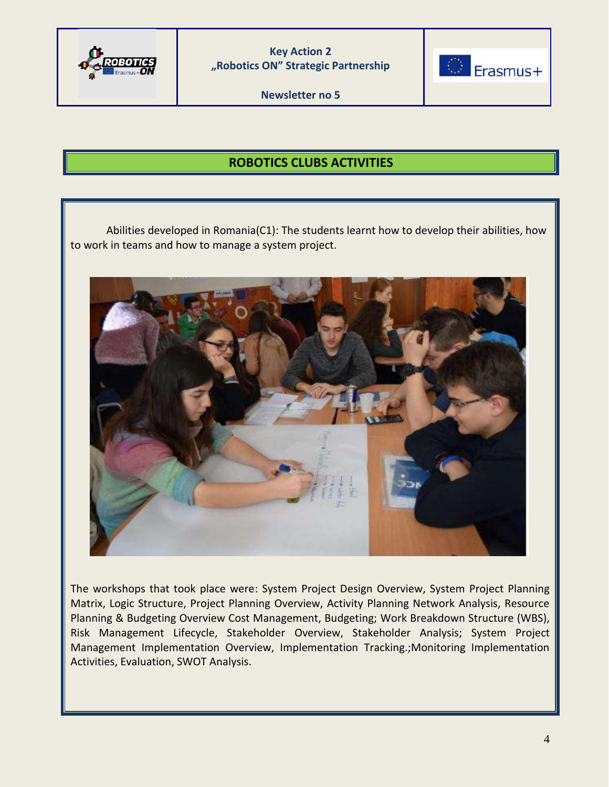

**Newsletter no 5**



## **ROBOTICS CLUBS ACTIVITIES**

Abilities developed in Romania(C1): The students learnt how to develop their abilities, how to work in teams and how to manage a system project.



The workshops that took place were: System Project Design Overview, System Project Planning Matrix, Logic Structure, Project Planning Overview, Activity Planning Network Analysis, Resource Planning & Budgeting Overview Cost Management, Budgeting; Work Breakdown Structure (WBS), Risk Management Lifecycle, Stakeholder Overview, Stakeholder Analysis; System Project Management Implementation Overview, Implementation Tracking.;Monitoring Implementation Activities, Evaluation, SWOT Analysis.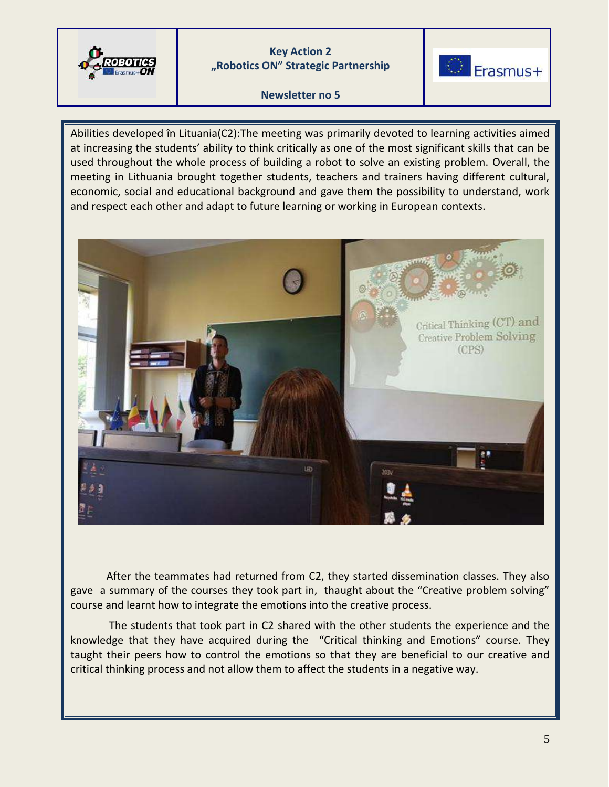

#### **Newsletter no 5**

Erasmus+

Abilities developed în Lituania(C2):The meeting was primarily devoted to learning activities aimed at increasing the students' ability to think critically as one of the most significant skills that can be used throughout the whole process of building a robot to solve an existing problem. Overall, the meeting in Lithuania brought together students, teachers and trainers having different cultural, economic, social and educational background and gave them the possibility to understand, work and respect each other and adapt to future learning or working in European contexts.



After the teammates had returned from C2, they started dissemination classes. They also gave a summary of the courses they took part in, thaught about the "Creative problem solving" course and learnt how to integrate the emotions into the creative process.

The students that took part in C2 shared with the other students the experience and the knowledge that they have acquired during the "Critical thinking and Emotions" course. They taught their peers how to control the emotions so that they are beneficial to our creative and critical thinking process and not allow them to affect the students in a negative way.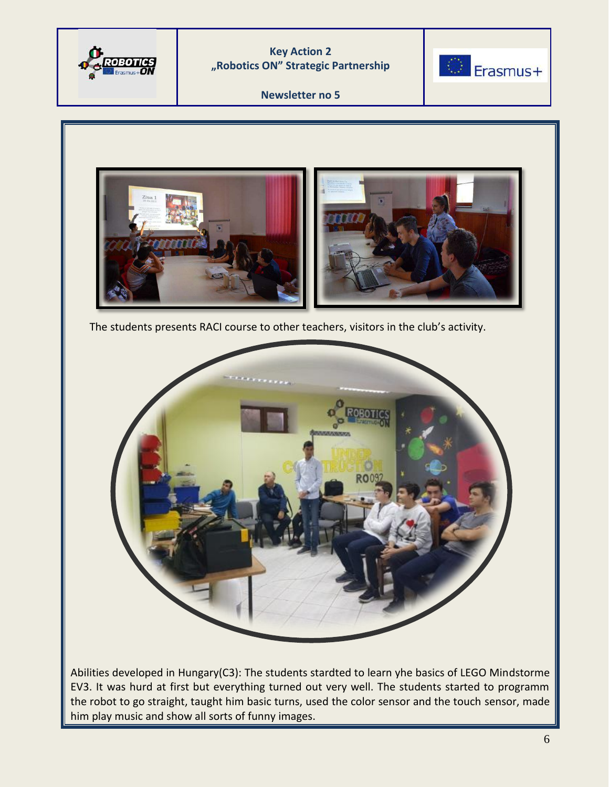



**Newsletter no 5**



The students presents RACI course to other teachers, visitors in the club's activity.



Abilities developed in Hungary(C3): The students stardted to learn yhe basics of LEGO Mindstorme EV3. It was hurd at first but everything turned out very well. The students started to programm the robot to go straight, taught him basic turns, used the color sensor and the touch sensor, made him play music and show all sorts of funny images.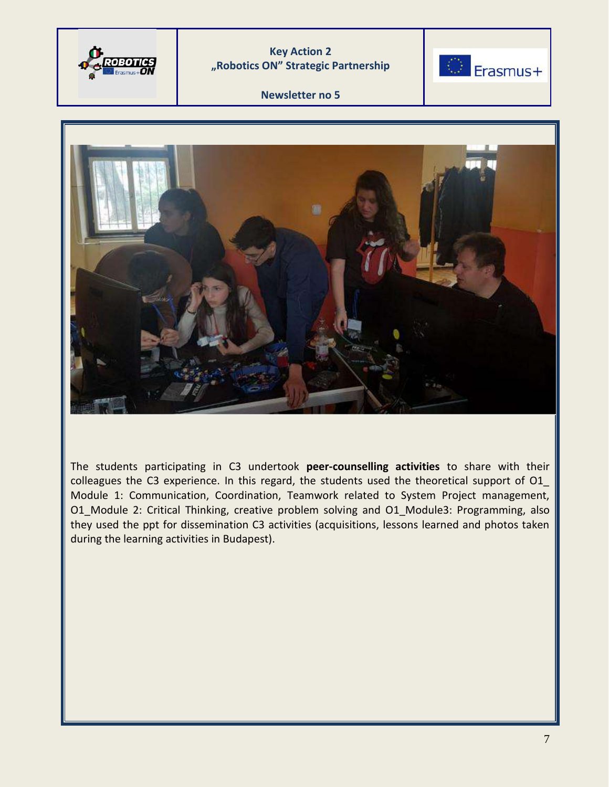



#### **Newsletter no 5**



The students participating in C3 undertook **peer-counselling activities** to share with their colleagues the C3 experience. In this regard, the students used the theoretical support of O1\_ Module 1: Communication, Coordination, Teamwork related to System Project management, O1 Module 2: Critical Thinking, creative problem solving and O1 Module3: Programming, also they used the ppt for dissemination C3 activities (acquisitions, lessons learned and photos taken during the learning activities in Budapest).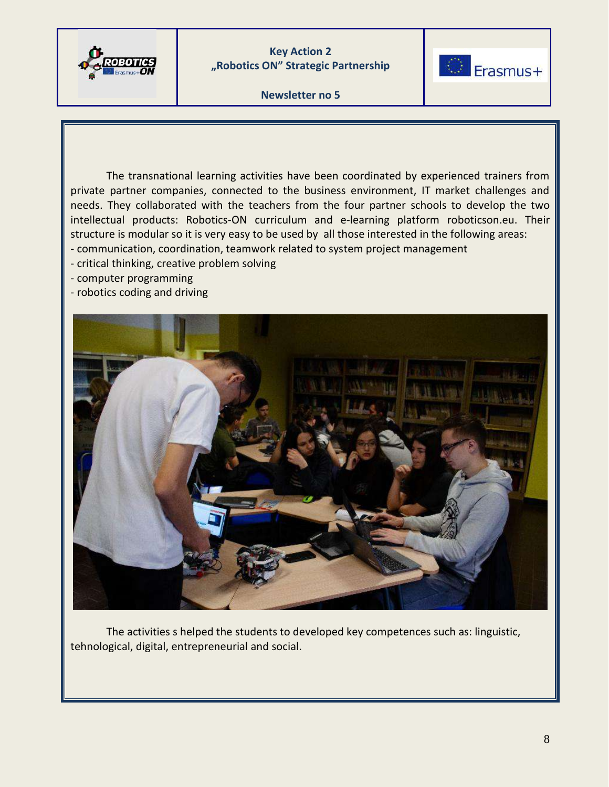

C Erasmus+

**Newsletter no 5**

The transnational learning activities have been coordinated by experienced trainers from private partner companies, connected to the business environment, IT market challenges and needs. They collaborated with the teachers from the four partner schools to develop the two intellectual products: Robotics-ON curriculum and e-learning platform roboticson.eu. Their structure is modular so it is very easy to be used by all those interested in the following areas:

- communication, coordination, teamwork related to system project management
- critical thinking, creative problem solving
- computer programming
- robotics coding and driving



 The activities s helped the students to developed key competences such as: linguistic, tehnological, digital, entrepreneurial and social.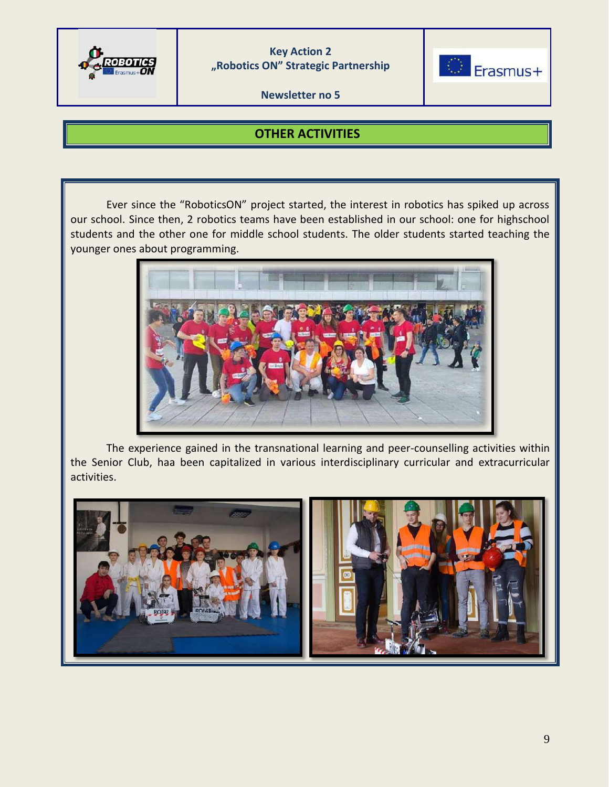

**Newsletter no 5**



## **OTHER ACTIVITIES**

Ever since the "RoboticsON" project started, the interest in robotics has spiked up across our school. Since then, 2 robotics teams have been established in our school: one for highschool students and the other one for middle school students. The older students started teaching the younger ones about programming.



The experience gained in the transnational learning and peer-counselling activities within the Senior Club, haa been capitalized in various interdisciplinary curricular and extracurricular activities.

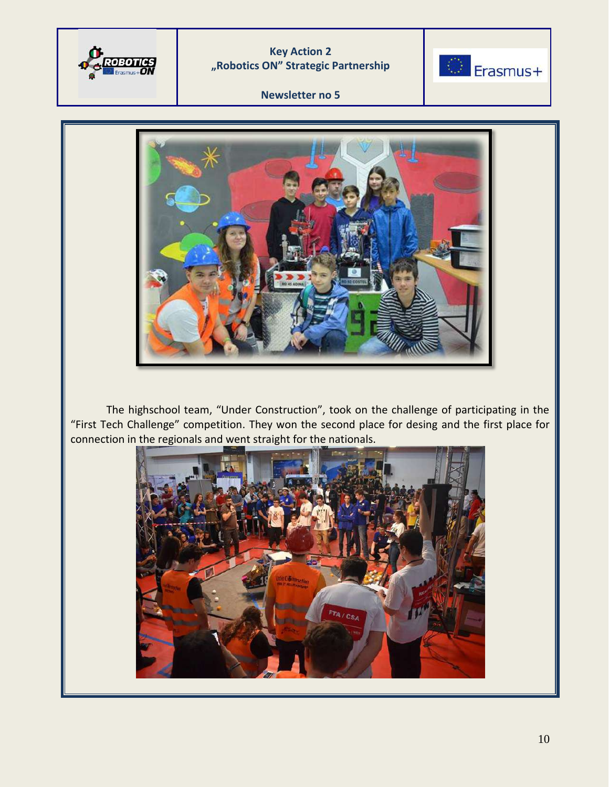



#### **Newsletter no 5**



The highschool team, "Under Construction", took on the challenge of participating in the "First Tech Challenge" competition. They won the second place for desing and the first place for connection in the regionals and went straight for the nationals.

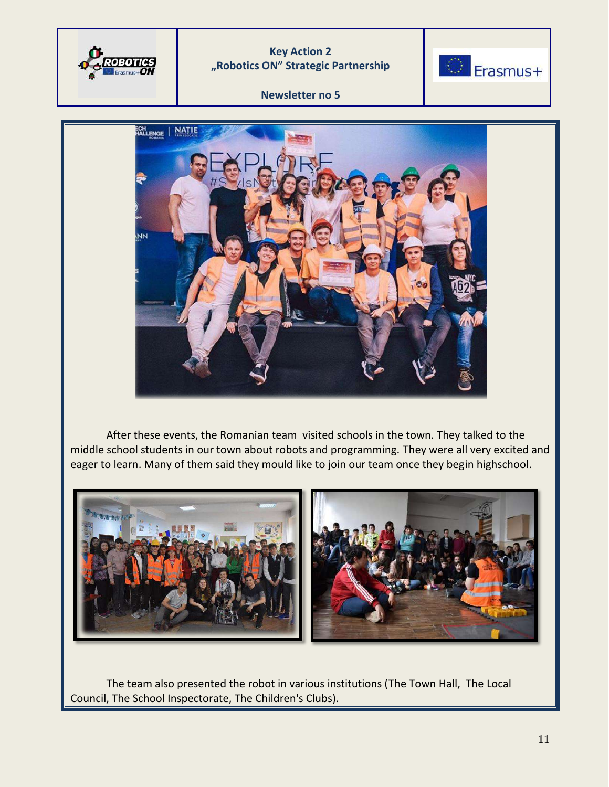



#### **Newsletter no 5**



After these events, the Romanian team visited schools in the town. They talked to the middle school students in our town about robots and programming. They were all very excited and eager to learn. Many of them said they mould like to join our team once they begin highschool.



The team also presented the robot in various institutions (The Town Hall, The Local Council, The School Inspectorate, The Children's Clubs).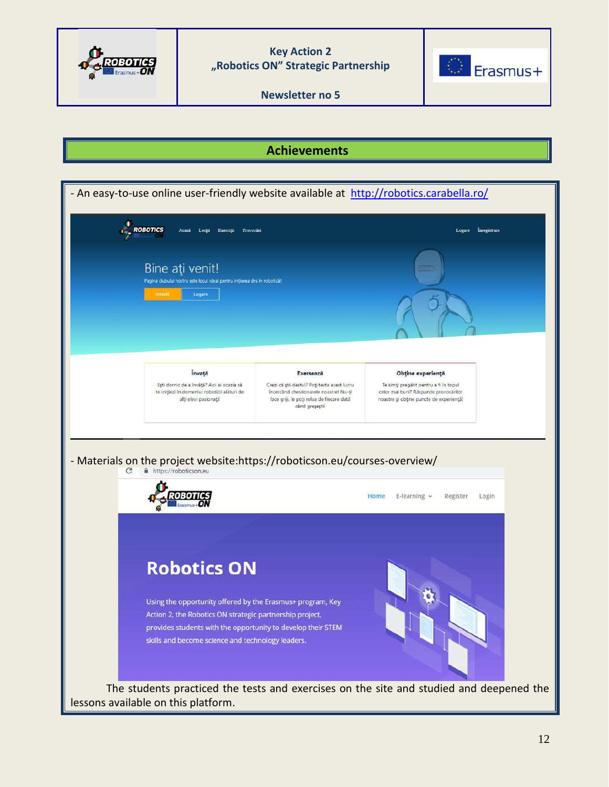

**Newsletter no 5**



## **Achievements**

| - An easy-to-use online user-friendly website available at http://robotics.carabella.ro/                                                                                                                                                                          |                                                                                                                                                       |                                                                                                                            |
|-------------------------------------------------------------------------------------------------------------------------------------------------------------------------------------------------------------------------------------------------------------------|-------------------------------------------------------------------------------------------------------------------------------------------------------|----------------------------------------------------------------------------------------------------------------------------|
| ROBOTICS<br>Provocari<br>Exercitu<br>Асані<br>Lectu                                                                                                                                                                                                               |                                                                                                                                                       | Inregistrare<br>Logare                                                                                                     |
| Bine ati venit!<br>Pagina clubului nostru este locul ideal pentru inițierea dvs în robotică!<br>Detail<br>Logare                                                                                                                                                  |                                                                                                                                                       | <b>ATEGO</b>                                                                                                               |
| Învață                                                                                                                                                                                                                                                            | Exersează                                                                                                                                             | Obține experiență                                                                                                          |
| Ești dornic de a învăță? Aici ai ocazia să<br>te inițiezi în domeniul roboticii alături de<br>alți elevi pasionați!                                                                                                                                               | Crezi că știi destul? Poți testa acest lucru<br>încercând chestionarele noastre! Nu-ți<br>face griji, le poți relua de fiecare dată<br>când greșești! | Te simți pregătit pentru a fi în topul<br>celor mai buni? Răspunde provocărilor<br>noastre și obține puncte de experiență! |
| - Materials on the project website: https://roboticson.eu/courses-overview/<br>https://roboticson.eu<br>С                                                                                                                                                         |                                                                                                                                                       | E-learning $\vee$<br>Home<br>Register<br>Login                                                                             |
| <b>Robotics ON</b><br>Using the opportunity offered by the Erasmus+ program, Key<br>Action 2, the Robotics ON strategic partnership project,<br>provides students with the opportunity to develop their STEM<br>skills and become science and technology leaders. |                                                                                                                                                       |                                                                                                                            |
| lessons available on this platform.                                                                                                                                                                                                                               |                                                                                                                                                       | The students practiced the tests and exercises on the site and studied and deepened the                                    |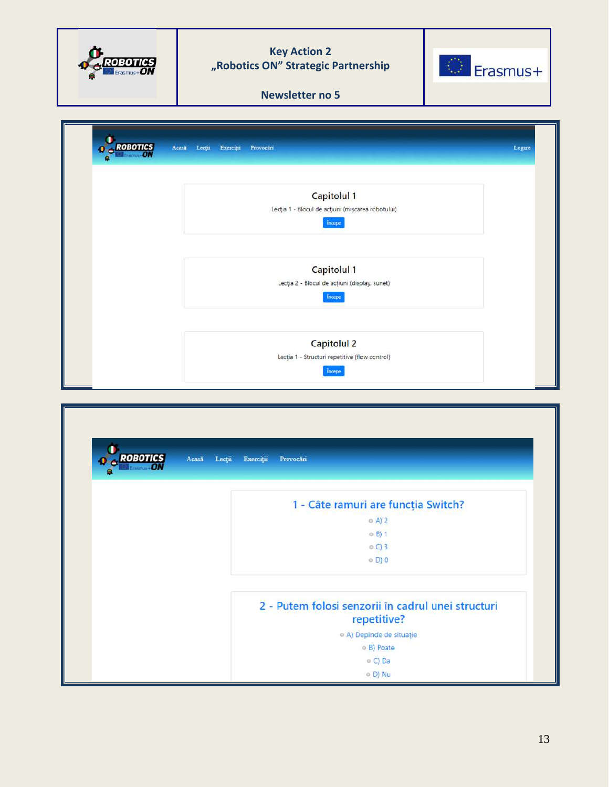|                             | <b>Key Action 2</b><br>"Robotics ON" Strategic Partnership<br>Erasmus+<br><b>Newsletter no 5</b>                                  |
|-----------------------------|-----------------------------------------------------------------------------------------------------------------------------------|
| <b>ROBOTICS</b><br>Acasa    | Lecții<br>Exerciții<br>Provocări<br>Logare                                                                                        |
|                             | Capitolul 1<br>Lecția 1 - Blocul de acțiuni (mișcarea robotului)<br><i>incepe</i>                                                 |
|                             | Capitolul 1<br>Lecția 2 - Blocul de acțiuni (display, sunet)<br>Incepe                                                            |
|                             | <b>Capitolul 2</b><br>Lecția 1 - Structuri repetitive (flow control)<br>începe                                                    |
| <b>ROBOTICS</b><br>$\theta$ | Acasă<br>Lecții<br>Exerciții<br>Provocări                                                                                         |
|                             | 1 - Câte ramuri are funcția Switch?<br>© A) 2<br>© B) 1<br>$O$ C) $3$<br>◎ D) 0                                                   |
|                             | 2 - Putem folosi senzorii în cadrul unei structuri<br>repetitive?<br>© A) Depinde de situație<br>© B) Poate<br>o C) Da<br>o D) Nu |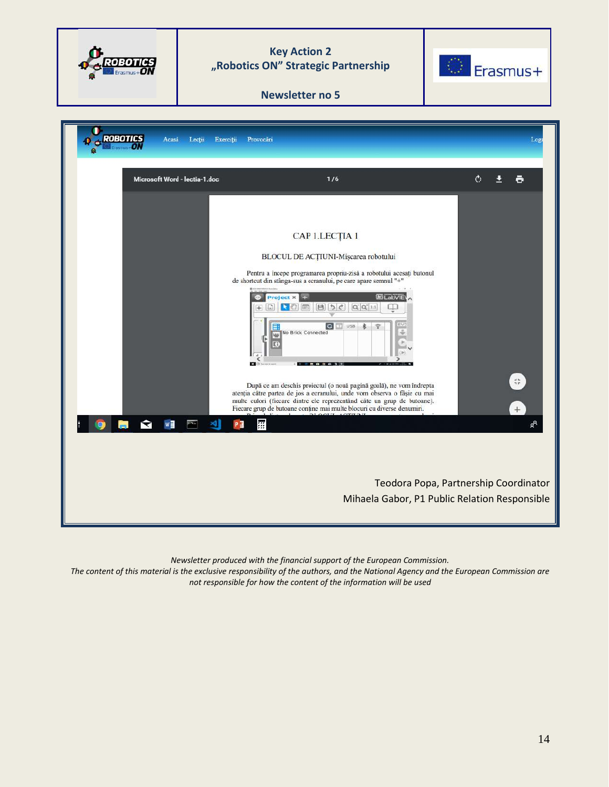

*Newsletter produced with the financial support of the European Commission.* 

*The content of this material is the exclusive responsibility of the authors, and the National Agency and the European Commission are not responsible for how the content of the information will be used*